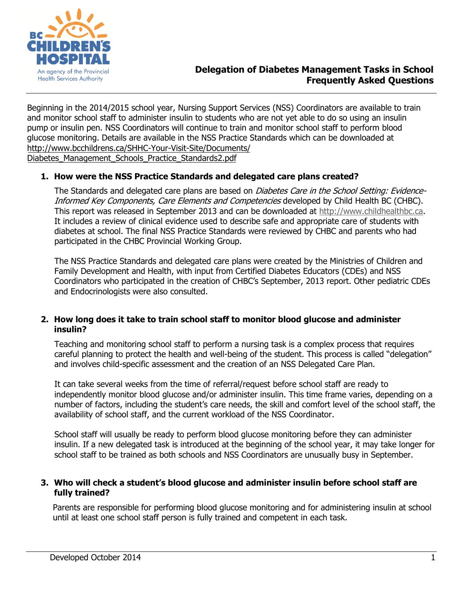

# **Delegation of Diabetes Management Tasks in School Frequently Asked Questions**

Beginning in the 2014/2015 school year, Nursing Support Services (NSS) Coordinators are available to train and monitor school staff to administer insulin to students who are not yet able to do so using an insulin pump or insulin pen. NSS Coordinators will continue to train and monitor school staff to perform blood glucose monitoring. Details are available in the NSS Practice Standards which can be downloaded at [http://www.bcchildrens.ca/SHHC-Your-Visit-Site/Documents/](http://www.bcchildrens.ca/SHHC-Your-Visit-Site/Documents/Diabetes_Management_Schools_Practice_Standards2.pdf) Diabetes\_Management\_Schools\_Practice\_Standards2.pdf

## **1. How were the NSS Practice Standards and delegated care plans created?**

The Standards and delegated care plans are based on *Diabetes Care in the School Setting: Evidence-*Informed Key Components, Care Elements and Competencies developed by Child Health BC (CHBC). This report was released in September 2013 and can be downloaded at [http://www.childhealthbc.ca.](http://www.childhealthbc.ca/) It includes a review of clinical evidence used to describe safe and appropriate care of students with diabetes at school. The final NSS Practice Standards were reviewed by CHBC and parents who had participated in the CHBC Provincial Working Group.

The NSS Practice Standards and delegated care plans were created by the Ministries of Children and Family Development and Health, with input from Certified Diabetes Educators (CDEs) and NSS Coordinators who participated in the creation of CHBC's September, 2013 report. Other pediatric CDEs and Endocrinologists were also consulted.

#### **2. How long does it take to train school staff to monitor blood glucose and administer insulin?**

Teaching and monitoring school staff to perform a nursing task is a complex process that requires careful planning to protect the health and well-being of the student. This process is called "delegation" and involves child-specific assessment and the creation of an NSS Delegated Care Plan.

It can take several weeks from the time of referral/request before school staff are ready to independently monitor blood glucose and/or administer insulin. This time frame varies, depending on a number of factors, including the student's care needs, the skill and comfort level of the school staff, the availability of school staff, and the current workload of the NSS Coordinator.

School staff will usually be ready to perform blood glucose monitoring before they can administer insulin. If a new delegated task is introduced at the beginning of the school year, it may take longer for school staff to be trained as both schools and NSS Coordinators are unusually busy in September.

#### **3. Who will check a student's blood glucose and administer insulin before school staff are fully trained?**

Parents are responsible for performing blood glucose monitoring and for administering insulin at school until at least one school staff person is fully trained and competent in each task.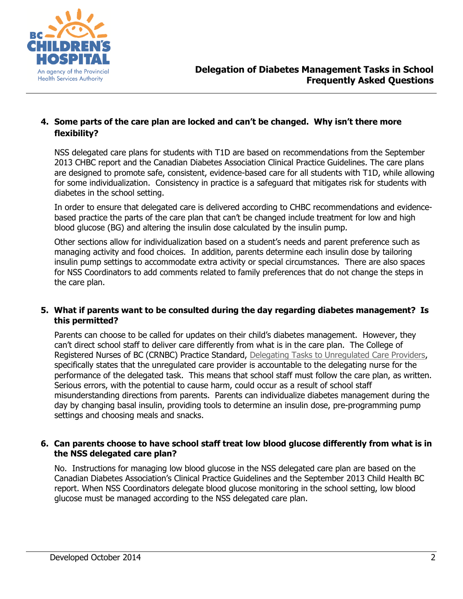

## **4. Some parts of the care plan are locked and can't be changed. Why isn't there more flexibility?**

NSS delegated care plans for students with T1D are based on recommendations from the September 2013 CHBC report and the Canadian Diabetes Association Clinical Practice Guidelines. The care plans are designed to promote safe, consistent, evidence-based care for all students with T1D, while allowing for some individualization. Consistency in practice is a safeguard that mitigates risk for students with diabetes in the school setting.

In order to ensure that delegated care is delivered according to CHBC recommendations and evidencebased practice the parts of the care plan that can't be changed include treatment for low and high blood glucose (BG) and altering the insulin dose calculated by the insulin pump.

Other sections allow for individualization based on a student's needs and parent preference such as managing activity and food choices. In addition, parents determine each insulin dose by tailoring insulin pump settings to accommodate extra activity or special circumstances. There are also spaces for NSS Coordinators to add comments related to family preferences that do not change the steps in the care plan.

## **5. What if parents want to be consulted during the day regarding diabetes management? Is this permitted?**

Parents can choose to be called for updates on their child's diabetes management. However, they can't direct school staff to deliver care differently from what is in the care plan. The College of Registered Nurses of BC (CRNBC) Practice Standard, [Delegating Tasks to Unregulated Care Providers,](https://www.crnbc.ca/Standards/PracticeStandards/Pages/delegating.aspx) specifically states that the unregulated care provider is accountable to the delegating nurse for the performance of the delegated task. This means that school staff must follow the care plan, as written. Serious errors, with the potential to cause harm, could occur as a result of school staff misunderstanding directions from parents. Parents can individualize diabetes management during the day by changing basal insulin, providing tools to determine an insulin dose, pre-programming pump settings and choosing meals and snacks.

## **6. Can parents choose to have school staff treat low blood glucose differently from what is in the NSS delegated care plan?**

No. Instructions for managing low blood glucose in the NSS delegated care plan are based on the Canadian Diabetes Association's Clinical Practice Guidelines and the September 2013 Child Health BC report. When NSS Coordinators delegate blood glucose monitoring in the school setting, low blood glucose must be managed according to the NSS delegated care plan.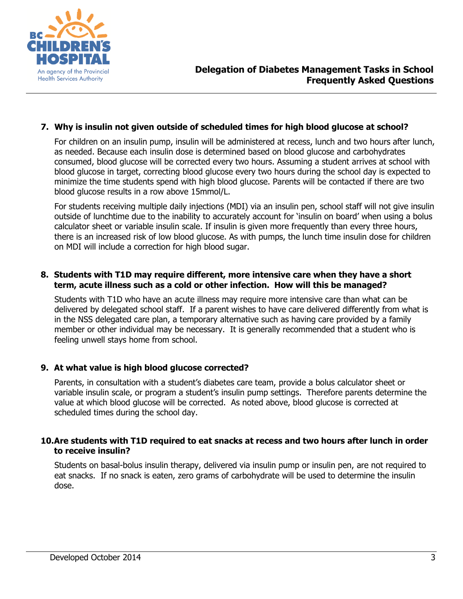

## **7. Why is insulin not given outside of scheduled times for high blood glucose at school?**

For children on an insulin pump, insulin will be administered at recess, lunch and two hours after lunch, as needed. Because each insulin dose is determined based on blood glucose and carbohydrates consumed, blood glucose will be corrected every two hours. Assuming a student arrives at school with blood glucose in target, correcting blood glucose every two hours during the school day is expected to minimize the time students spend with high blood glucose. Parents will be contacted if there are two blood glucose results in a row above 15mmol/L.

For students receiving multiple daily injections (MDI) via an insulin pen, school staff will not give insulin outside of lunchtime due to the inability to accurately account for 'insulin on board' when using a bolus calculator sheet or variable insulin scale. If insulin is given more frequently than every three hours, there is an increased risk of low blood glucose. As with pumps, the lunch time insulin dose for children on MDI will include a correction for high blood sugar.

#### **8. Students with T1D may require different, more intensive care when they have a short term, acute illness such as a cold or other infection. How will this be managed?**

Students with T1D who have an acute illness may require more intensive care than what can be delivered by delegated school staff. If a parent wishes to have care delivered differently from what is in the NSS delegated care plan, a temporary alternative such as having care provided by a family member or other individual may be necessary. It is generally recommended that a student who is feeling unwell stays home from school.

## **9. At what value is high blood glucose corrected?**

Parents, in consultation with a student's diabetes care team, provide a bolus calculator sheet or variable insulin scale, or program a student's insulin pump settings. Therefore parents determine the value at which blood glucose will be corrected. As noted above, blood glucose is corrected at scheduled times during the school day.

#### **10.Are students with T1D required to eat snacks at recess and two hours after lunch in order to receive insulin?**

Students on basal-bolus insulin therapy, delivered via insulin pump or insulin pen, are not required to eat snacks. If no snack is eaten, zero grams of carbohydrate will be used to determine the insulin dose.